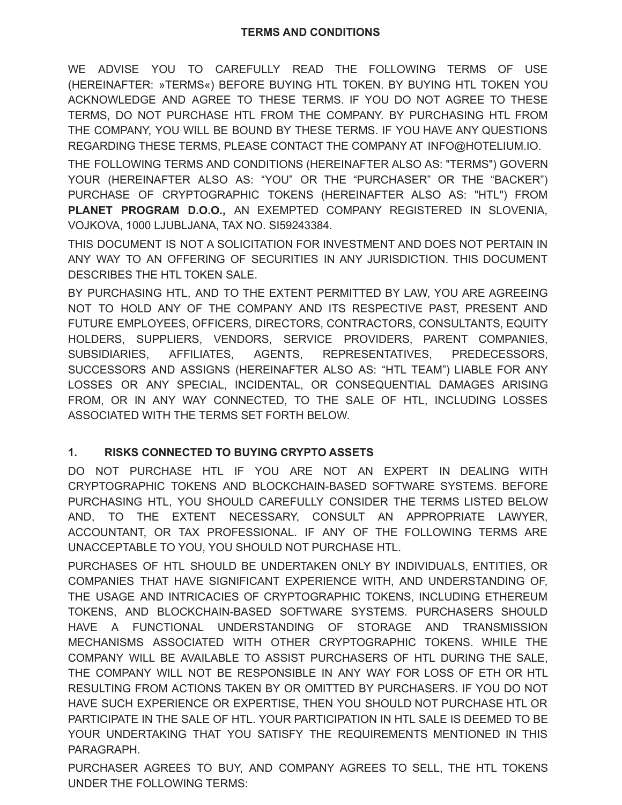WE ADVISE YOU TO CAREFULLY READ THE FOLLOWING TERMS OF USE (HEREINAFTER: »TERMS«) BEFORE BUYING HTL TOKEN. BY BUYING HTL TOKEN YOU ACKNOWLEDGE AND AGREE TO THESE TERMS. IF YOU DO NOT AGREE TO THESE TERMS, DO NOT PURCHASE HTL FROM THE COMPANY. BY PURCHASING HTL FROM THE COMPANY, YOU WILL BE BOUND BY THESE TERMS. IF YOU HAVE ANY QUESTIONS REGARDING THESE TERMS, PLEASE CONTACT THE COMPANY AT [INFO@HOTELIUM.IO.](mailto:INFO@HOTELIUM.IO)

THE FOLLOWING TERMS AND CONDITIONS (HEREINAFTER ALSO AS: "TERMS") GOVERN YOUR (HEREINAFTER ALSO AS: "YOU" OR THE "PURCHASER" OR THE "BACKER") PURCHASE OF CRYPTOGRAPHIC TOKENS (HEREINAFTER ALSO AS: "HTL") FROM **PLANET PROGRAM D.O.O.,** AN EXEMPTED COMPANY REGISTERED IN SLOVENIA, VOJKOVA, 1000 LJUBLJANA, TAX NO. SI59243384.

THIS DOCUMENT IS NOT A SOLICITATION FOR INVESTMENT AND DOES NOT PERTAIN IN ANY WAY TO AN OFFERING OF SECURITIES IN ANY JURISDICTION. THIS DOCUMENT DESCRIBES THE HTL TOKEN SALE.

BY PURCHASING HTL, AND TO THE EXTENT PERMITTED BY LAW, YOU ARE AGREEING NOT TO HOLD ANY OF THE COMPANY AND ITS RESPECTIVE PAST, PRESENT AND FUTURE EMPLOYEES, OFFICERS, DIRECTORS, CONTRACTORS, CONSULTANTS, EQUITY HOLDERS, SUPPLIERS, VENDORS, SERVICE PROVIDERS, PARENT COMPANIES, SUBSIDIARIES, AFFILIATES, AGENTS, REPRESENTATIVES, PREDECESSORS, SUCCESSORS AND ASSIGNS (HEREINAFTER ALSO AS: "HTL TEAM") LIABLE FOR ANY LOSSES OR ANY SPECIAL, INCIDENTAL, OR CONSEQUENTIAL DAMAGES ARISING FROM, OR IN ANY WAY CONNECTED, TO THE SALE OF HTL, INCLUDING LOSSES ASSOCIATED WITH THE TERMS SET FORTH BELOW.

## **1. RISKS CONNECTED TO BUYING CRYPTO ASSETS**

DO NOT PURCHASE HTL IF YOU ARE NOT AN EXPERT IN DEALING WITH CRYPTOGRAPHIC TOKENS AND BLOCKCHAIN-BASED SOFTWARE SYSTEMS. BEFORE PURCHASING HTL, YOU SHOULD CAREFULLY CONSIDER THE TERMS LISTED BELOW AND, TO THE EXTENT NECESSARY, CONSULT AN APPROPRIATE LAWYER, ACCOUNTANT, OR TAX PROFESSIONAL. IF ANY OF THE FOLLOWING TERMS ARE UNACCEPTABLE TO YOU, YOU SHOULD NOT PURCHASE HTL.

PURCHASES OF HTL SHOULD BE UNDERTAKEN ONLY BY INDIVIDUALS, ENTITIES, OR COMPANIES THAT HAVE SIGNIFICANT EXPERIENCE WITH, AND UNDERSTANDING OF, THE USAGE AND INTRICACIES OF CRYPTOGRAPHIC TOKENS, INCLUDING ETHEREUM TOKENS, AND BLOCKCHAIN-BASED SOFTWARE SYSTEMS. PURCHASERS SHOULD HAVE A FUNCTIONAL UNDERSTANDING OF STORAGE AND TRANSMISSION MECHANISMS ASSOCIATED WITH OTHER CRYPTOGRAPHIC TOKENS. WHILE THE COMPANY WILL BE AVAILABLE TO ASSIST PURCHASERS OF HTL DURING THE SALE, THE COMPANY WILL NOT BE RESPONSIBLE IN ANY WAY FOR LOSS OF ETH OR HTL RESULTING FROM ACTIONS TAKEN BY OR OMITTED BY PURCHASERS. IF YOU DO NOT HAVE SUCH EXPERIENCE OR EXPERTISE, THEN YOU SHOULD NOT PURCHASE HTL OR PARTICIPATE IN THE SALE OF HTL. YOUR PARTICIPATION IN HTL SALE IS DEEMED TO BE YOUR UNDERTAKING THAT YOU SATISFY THE REQUIREMENTS MENTIONED IN THIS PARAGRAPH.

PURCHASER AGREES TO BUY, AND COMPANY AGREES TO SELL, THE HTL TOKENS UNDER THE FOLLOWING TERMS: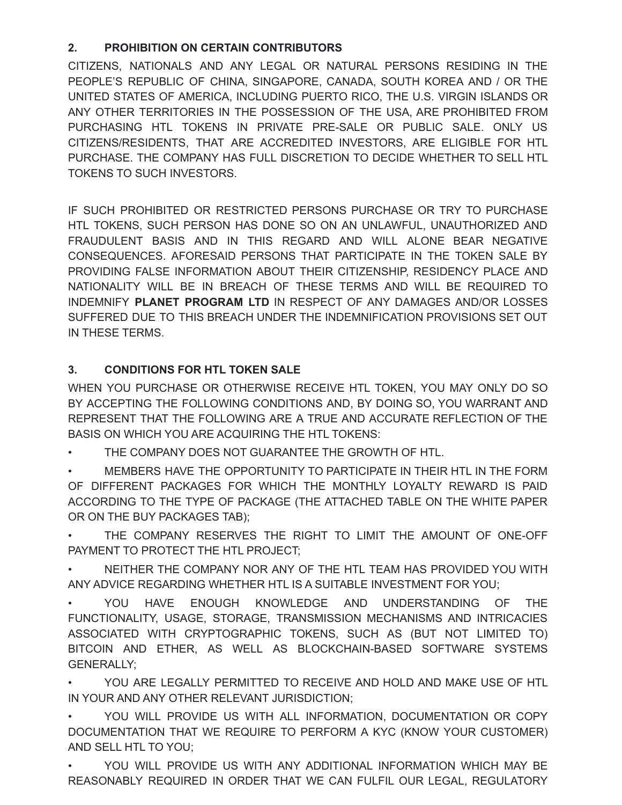## **2. PROHIBITION ON CERTAIN CONTRIBUTORS**

CITIZENS, NATIONALS AND ANY LEGAL OR NATURAL PERSONS RESIDING IN THE PEOPLE'S REPUBLIC OF CHINA, SINGAPORE, CANADA, SOUTH KOREA AND / OR THE UNITED STATES OF AMERICA, INCLUDING PUERTO RICO, THE U.S. VIRGIN ISLANDS OR ANY OTHER TERRITORIES IN THE POSSESSION OF THE USA, ARE PROHIBITED FROM PURCHASING HTL TOKENS IN PRIVATE PRE-SALE OR PUBLIC SALE. ONLY US CITIZENS/RESIDENTS, THAT ARE ACCREDITED INVESTORS, ARE ELIGIBLE FOR HTL PURCHASE. THE COMPANY HAS FULL DISCRETION TO DECIDE WHETHER TO SELL HTL TOKENS TO SUCH INVESTORS.

IF SUCH PROHIBITED OR RESTRICTED PERSONS PURCHASE OR TRY TO PURCHASE HTL TOKENS, SUCH PERSON HAS DONE SO ON AN UNLAWFUL, UNAUTHORIZED AND FRAUDULENT BASIS AND IN THIS REGARD AND WILL ALONE BEAR NEGATIVE CONSEQUENCES. AFORESAID PERSONS THAT PARTICIPATE IN THE TOKEN SALE BY PROVIDING FALSE INFORMATION ABOUT THEIR CITIZENSHIP, RESIDENCY PLACE AND NATIONALITY WILL BE IN BREACH OF THESE TERMS AND WILL BE REQUIRED TO INDEMNIFY **PLANET PROGRAM LTD** IN RESPECT OF ANY DAMAGES AND/OR LOSSES SUFFERED DUE TO THIS BREACH UNDER THE INDEMNIFICATION PROVISIONS SET OUT IN THESE TERMS.

## **3. CONDITIONS FOR HTL TOKEN SALE**

WHEN YOU PURCHASE OR OTHERWISE RECEIVE HTL TOKEN, YOU MAY ONLY DO SO BY ACCEPTING THE FOLLOWING CONDITIONS AND, BY DOING SO, YOU WARRANT AND REPRESENT THAT THE FOLLOWING ARE A TRUE AND ACCURATE REFLECTION OF THE BASIS ON WHICH YOU ARE ACQUIRING THE HTL TOKENS:

• THE COMPANY DOES NOT GUARANTEE THE GROWTH OF HTL.

• MEMBERS HAVE THE OPPORTUNITY TO PARTICIPATE IN THEIR HTL IN THE FORM OF DIFFERENT PACKAGES FOR WHICH THE MONTHLY LOYALTY REWARD IS PAID ACCORDING TO THE TYPE OF PACKAGE (THE ATTACHED TABLE ON THE WHITE PAPER OR ON THE BUY PACKAGES TAB);

THE COMPANY RESERVES THE RIGHT TO LIMIT THE AMOUNT OF ONE-OFF PAYMENT TO PROTECT THE HTL PROJECT;

• NEITHER THE COMPANY NOR ANY OF THE HTL TEAM HAS PROVIDED YOU WITH ANY ADVICE REGARDING WHETHER HTL IS A SUITABLE INVESTMENT FOR YOU;

• YOU HAVE ENOUGH KNOWLEDGE AND UNDERSTANDING OF THE FUNCTIONALITY, USAGE, STORAGE, TRANSMISSION MECHANISMS AND INTRICACIES ASSOCIATED WITH CRYPTOGRAPHIC TOKENS, SUCH AS (BUT NOT LIMITED TO) BITCOIN AND ETHER, AS WELL AS BLOCKCHAIN-BASED SOFTWARE SYSTEMS GENERALLY;

YOU ARE LEGALLY PERMITTED TO RECEIVE AND HOLD AND MAKE USE OF HTL IN YOUR AND ANY OTHER RELEVANT JURISDICTION;

• YOU WILL PROVIDE US WITH ALL INFORMATION, DOCUMENTATION OR COPY DOCUMENTATION THAT WE REQUIRE TO PERFORM A KYC (KNOW YOUR CUSTOMER) AND SELL HTL TO YOU;

YOU WILL PROVIDE US WITH ANY ADDITIONAL INFORMATION WHICH MAY BE REASONABLY REQUIRED IN ORDER THAT WE CAN FULFIL OUR LEGAL, REGULATORY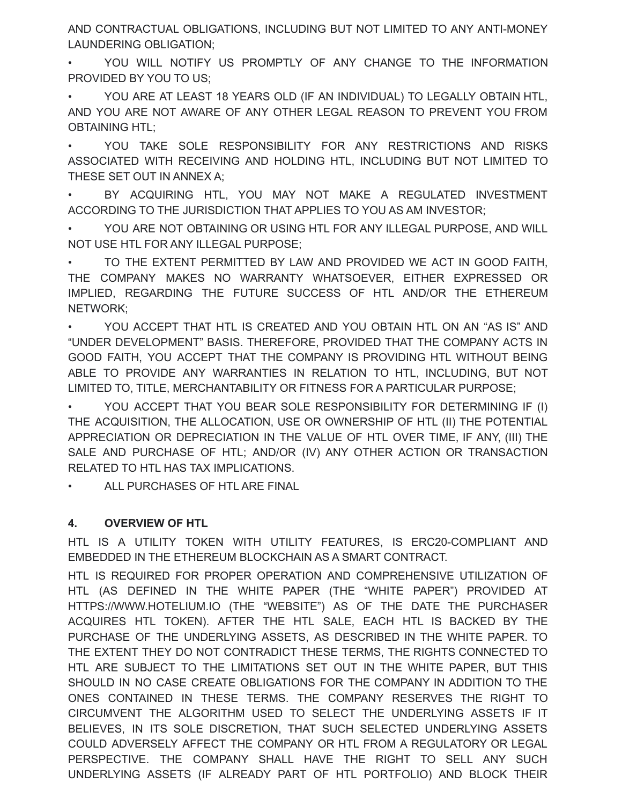AND CONTRACTUAL OBLIGATIONS, INCLUDING BUT NOT LIMITED TO ANY ANTI-MONEY LAUNDERING OBLIGATION;

YOU WILL NOTIFY US PROMPTLY OF ANY CHANGE TO THE INFORMATION PROVIDED BY YOU TO US;

• YOU ARE AT LEAST 18 YEARS OLD (IF AN INDIVIDUAL) TO LEGALLY OBTAIN HTL, AND YOU ARE NOT AWARE OF ANY OTHER LEGAL REASON TO PREVENT YOU FROM OBTAINING HTL;

YOU TAKE SOLE RESPONSIBILITY FOR ANY RESTRICTIONS AND RISKS ASSOCIATED WITH RECEIVING AND HOLDING HTL, INCLUDING BUT NOT LIMITED TO THESE SET OUT IN ANNEX A;

• BY ACQUIRING HTL, YOU MAY NOT MAKE A REGULATED INVESTMENT ACCORDING TO THE JURISDICTION THAT APPLIES TO YOU AS AM INVESTOR;

YOU ARE NOT OBTAINING OR USING HTL FOR ANY ILLEGAL PURPOSE, AND WILL NOT USE HTL FOR ANY ILLEGAL PURPOSE;

TO THE EXTENT PERMITTED BY LAW AND PROVIDED WE ACT IN GOOD FAITH, THE COMPANY MAKES NO WARRANTY WHATSOEVER, EITHER EXPRESSED OR IMPLIED, REGARDING THE FUTURE SUCCESS OF HTL AND/OR THE ETHEREUM NETWORK;

• YOU ACCEPT THAT HTL IS CREATED AND YOU OBTAIN HTL ON AN "AS IS" AND "UNDER DEVELOPMENT" BASIS. THEREFORE, PROVIDED THAT THE COMPANY ACTS IN GOOD FAITH, YOU ACCEPT THAT THE COMPANY IS PROVIDING HTL WITHOUT BEING ABLE TO PROVIDE ANY WARRANTIES IN RELATION TO HTL, INCLUDING, BUT NOT LIMITED TO, TITLE, MERCHANTABILITY OR FITNESS FOR A PARTICULAR PURPOSE;

YOU ACCEPT THAT YOU BEAR SOLE RESPONSIBILITY FOR DETERMINING IF (I) THE ACQUISITION, THE ALLOCATION, USE OR OWNERSHIP OF HTL (II) THE POTENTIAL APPRECIATION OR DEPRECIATION IN THE VALUE OF HTL OVER TIME, IF ANY, (III) THE SALE AND PURCHASE OF HTL; AND/OR (IV) ANY OTHER ACTION OR TRANSACTION RELATED TO HTL HAS TAX IMPLICATIONS.

ALL PURCHASES OF HTL ARE FINAL

#### **4. OVERVIEW OF HTL**

HTL IS A UTILITY TOKEN WITH UTILITY FEATURES, IS ERC20-COMPLIANT AND EMBEDDED IN THE ETHEREUM BLOCKCHAIN AS A SMART CONTRACT.

HTL IS REQUIRED FOR PROPER OPERATION AND COMPREHENSIVE UTILIZATION OF HTL (AS DEFINED IN THE WHITE PAPER (THE "WHITE PAPER") PROVIDED AT HTTPS:/[/WWW.HOTELIUM.IO](http://www.hotelium.io/) (THE "WEBSITE") AS OF THE DATE THE PURCHASER ACQUIRES HTL TOKEN). AFTER THE HTL SALE, EACH HTL IS BACKED BY THE PURCHASE OF THE UNDERLYING ASSETS, AS DESCRIBED IN THE WHITE PAPER. TO THE EXTENT THEY DO NOT CONTRADICT THESE TERMS, THE RIGHTS CONNECTED TO HTL ARE SUBJECT TO THE LIMITATIONS SET OUT IN THE WHITE PAPER, BUT THIS SHOULD IN NO CASE CREATE OBLIGATIONS FOR THE COMPANY IN ADDITION TO THE ONES CONTAINED IN THESE TERMS. THE COMPANY RESERVES THE RIGHT TO CIRCUMVENT THE ALGORITHM USED TO SELECT THE UNDERLYING ASSETS IF IT BELIEVES, IN ITS SOLE DISCRETION, THAT SUCH SELECTED UNDERLYING ASSETS COULD ADVERSELY AFFECT THE COMPANY OR HTL FROM A REGULATORY OR LEGAL PERSPECTIVE. THE COMPANY SHALL HAVE THE RIGHT TO SELL ANY SUCH UNDERLYING ASSETS (IF ALREADY PART OF HTL PORTFOLIO) AND BLOCK THEIR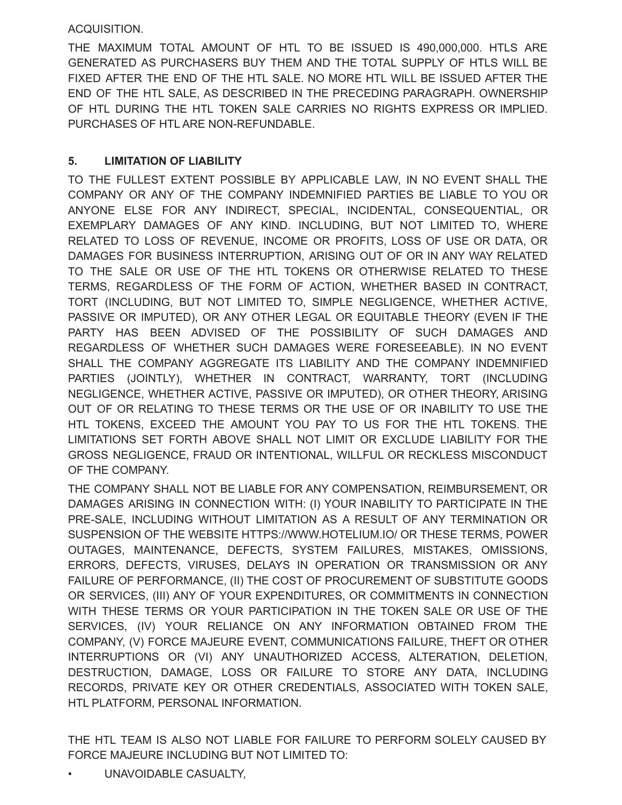ACQUISITION.

THE MAXIMUM TOTAL AMOUNT OF HTL TO BE ISSUED IS 490,000,000. HTLS ARE GENERATED AS PURCHASERS BUY THEM AND THE TOTAL SUPPLY OF HTLS WILL BE FIXED AFTER THE END OF THE HTL SALE. NO MORE HTL WILL BE ISSUED AFTER THE END OF THE HTL SALE, AS DESCRIBED IN THE PRECEDING PARAGRAPH. OWNERSHIP OF HTL DURING THE HTL TOKEN SALE CARRIES NO RIGHTS EXPRESS OR IMPLIED. PURCHASES OF HTL ARE NON-REFUNDABLE.

## **5. LIMITATION OF LIABILITY**

TO THE FULLEST EXTENT POSSIBLE BY APPLICABLE LAW, IN NO EVENT SHALL THE COMPANY OR ANY OF THE COMPANY INDEMNIFIED PARTIES BE LIABLE TO YOU OR ANYONE ELSE FOR ANY INDIRECT, SPECIAL, INCIDENTAL, CONSEQUENTIAL, OR EXEMPLARY DAMAGES OF ANY KIND. INCLUDING, BUT NOT LIMITED TO, WHERE RELATED TO LOSS OF REVENUE, INCOME OR PROFITS, LOSS OF USE OR DATA, OR DAMAGES FOR BUSINESS INTERRUPTION, ARISING OUT OF OR IN ANY WAY RELATED TO THE SALE OR USE OF THE HTL TOKENS OR OTHERWISE RELATED TO THESE TERMS, REGARDLESS OF THE FORM OF ACTION, WHETHER BASED IN CONTRACT, TORT (INCLUDING, BUT NOT LIMITED TO, SIMPLE NEGLIGENCE, WHETHER ACTIVE, PASSIVE OR IMPUTED), OR ANY OTHER LEGAL OR EQUITABLE THEORY (EVEN IF THE PARTY HAS BEEN ADVISED OF THE POSSIBILITY OF SUCH DAMAGES AND REGARDLESS OF WHETHER SUCH DAMAGES WERE FORESEEABLE). IN NO EVENT SHALL THE COMPANY AGGREGATE ITS LIABILITY AND THE COMPANY INDEMNIFIED PARTIES (JOINTLY), WHETHER IN CONTRACT, WARRANTY, TORT (INCLUDING NEGLIGENCE, WHETHER ACTIVE, PASSIVE OR IMPUTED), OR OTHER THEORY, ARISING OUT OF OR RELATING TO THESE TERMS OR THE USE OF OR INABILITY TO USE THE HTL TOKENS, EXCEED THE AMOUNT YOU PAY TO US FOR THE HTL TOKENS. THE LIMITATIONS SET FORTH ABOVE SHALL NOT LIMIT OR EXCLUDE LIABILITY FOR THE GROSS NEGLIGENCE, FRAUD OR INTENTIONAL, WILLFUL OR RECKLESS MISCONDUCT OF THE COMPANY.

THE COMPANY SHALL NOT BE LIABLE FOR ANY COMPENSATION, REIMBURSEMENT, OR DAMAGES ARISING IN CONNECTION WITH: (I) YOUR INABILITY TO PARTICIPATE IN THE PRE-SALE, INCLUDING WITHOUT LIMITATION AS A RESULT OF ANY TERMINATION OR SUSPENSION OF THE WEBSITE HTTPS:/[/WWW.HOTELIUM.IO/](http://www.hotelium.io/) OR THESE TERMS, POWER OUTAGES, MAINTENANCE, DEFECTS, SYSTEM FAILURES, MISTAKES, OMISSIONS, ERRORS, DEFECTS, VIRUSES, DELAYS IN OPERATION OR TRANSMISSION OR ANY FAILURE OF PERFORMANCE, (II) THE COST OF PROCUREMENT OF SUBSTITUTE GOODS OR SERVICES, (III) ANY OF YOUR EXPENDITURES, OR COMMITMENTS IN CONNECTION WITH THESE TERMS OR YOUR PARTICIPATION IN THE TOKEN SALE OR USE OF THE SERVICES, (IV) YOUR RELIANCE ON ANY INFORMATION OBTAINED FROM THE COMPANY, (V) FORCE MAJEURE EVENT, COMMUNICATIONS FAILURE, THEFT OR OTHER INTERRUPTIONS OR (VI) ANY UNAUTHORIZED ACCESS, ALTERATION, DELETION, DESTRUCTION, DAMAGE, LOSS OR FAILURE TO STORE ANY DATA, INCLUDING RECORDS, PRIVATE KEY OR OTHER CREDENTIALS, ASSOCIATED WITH TOKEN SALE, HTL PLATFORM, PERSONAL INFORMATION.

THE HTL TEAM IS ALSO NOT LIABLE FOR FAILURE TO PERFORM SOLELY CAUSED BY FORCE MAJEURE INCLUDING BUT NOT LIMITED TO:

• UNAVOIDABLE CASUALTY,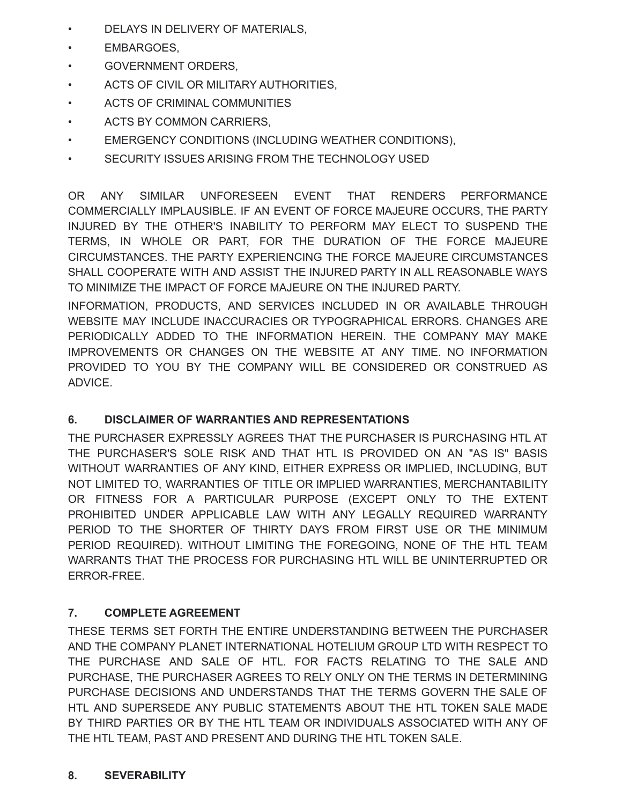- DELAYS IN DELIVERY OF MATERIALS,
- EMBARGOES,
- GOVERNMENT ORDERS,
- ACTS OF CIVIL OR MILITARY AUTHORITIES,
- ACTS OF CRIMINAL COMMUNITIES
- ACTS BY COMMON CARRIERS,
- EMERGENCY CONDITIONS (INCLUDING WEATHER CONDITIONS),
- SECURITY ISSUES ARISING FROM THE TECHNOLOGY USED

OR ANY SIMILAR UNFORESEEN EVENT THAT RENDERS PERFORMANCE COMMERCIALLY IMPLAUSIBLE. IF AN EVENT OF FORCE MAJEURE OCCURS, THE PARTY INJURED BY THE OTHER'S INABILITY TO PERFORM MAY ELECT TO SUSPEND THE TERMS, IN WHOLE OR PART, FOR THE DURATION OF THE FORCE MAJEURE CIRCUMSTANCES. THE PARTY EXPERIENCING THE FORCE MAJEURE CIRCUMSTANCES SHALL COOPERATE WITH AND ASSIST THE INJURED PARTY IN ALL REASONABLE WAYS TO MINIMIZE THE IMPACT OF FORCE MAJEURE ON THE INJURED PARTY.

INFORMATION, PRODUCTS, AND SERVICES INCLUDED IN OR AVAILABLE THROUGH WEBSITE MAY INCLUDE INACCURACIES OR TYPOGRAPHICAL ERRORS. CHANGES ARE PERIODICALLY ADDED TO THE INFORMATION HEREIN. THE COMPANY MAY MAKE IMPROVEMENTS OR CHANGES ON THE WEBSITE AT ANY TIME. NO INFORMATION PROVIDED TO YOU BY THE COMPANY WILL BE CONSIDERED OR CONSTRUED AS ADVICE.

## **6. DISCLAIMER OF WARRANTIES AND REPRESENTATIONS**

THE PURCHASER EXPRESSLY AGREES THAT THE PURCHASER IS PURCHASING HTL AT THE PURCHASER'S SOLE RISK AND THAT HTL IS PROVIDED ON AN "AS IS" BASIS WITHOUT WARRANTIES OF ANY KIND, EITHER EXPRESS OR IMPLIED, INCLUDING, BUT NOT LIMITED TO, WARRANTIES OF TITLE OR IMPLIED WARRANTIES, MERCHANTABILITY OR FITNESS FOR A PARTICULAR PURPOSE (EXCEPT ONLY TO THE EXTENT PROHIBITED UNDER APPLICABLE LAW WITH ANY LEGALLY REQUIRED WARRANTY PERIOD TO THE SHORTER OF THIRTY DAYS FROM FIRST USE OR THE MINIMUM PERIOD REQUIRED). WITHOUT LIMITING THE FOREGOING, NONE OF THE HTL TEAM WARRANTS THAT THE PROCESS FOR PURCHASING HTL WILL BE UNINTERRUPTED OR ERROR-FREE.

## **7. COMPLETE AGREEMENT**

THESE TERMS SET FORTH THE ENTIRE UNDERSTANDING BETWEEN THE PURCHASER AND THE COMPANY PLANET INTERNATIONAL HOTELIUM GROUP LTD WITH RESPECT TO THE PURCHASE AND SALE OF HTL. FOR FACTS RELATING TO THE SALE AND PURCHASE, THE PURCHASER AGREES TO RELY ONLY ON THE TERMS IN DETERMINING PURCHASE DECISIONS AND UNDERSTANDS THAT THE TERMS GOVERN THE SALE OF HTL AND SUPERSEDE ANY PUBLIC STATEMENTS ABOUT THE HTL TOKEN SALE MADE BY THIRD PARTIES OR BY THE HTL TEAM OR INDIVIDUALS ASSOCIATED WITH ANY OF THE HTL TEAM, PAST AND PRESENT AND DURING THE HTL TOKEN SALE.

## **8. SEVERABILITY**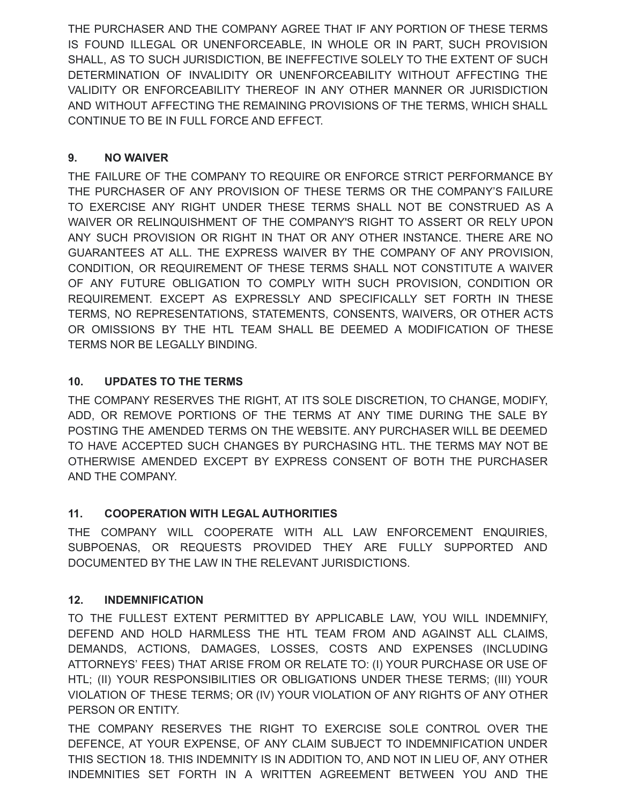THE PURCHASER AND THE COMPANY AGREE THAT IF ANY PORTION OF THESE TERMS IS FOUND ILLEGAL OR UNENFORCEABLE, IN WHOLE OR IN PART, SUCH PROVISION SHALL, AS TO SUCH JURISDICTION, BE INEFFECTIVE SOLELY TO THE EXTENT OF SUCH DETERMINATION OF INVALIDITY OR UNENFORCEABILITY WITHOUT AFFECTING THE VALIDITY OR ENFORCEABILITY THEREOF IN ANY OTHER MANNER OR JURISDICTION AND WITHOUT AFFECTING THE REMAINING PROVISIONS OF THE TERMS, WHICH SHALL CONTINUE TO BE IN FULL FORCE AND EFFECT.

## **9. NO WAIVER**

THE FAILURE OF THE COMPANY TO REQUIRE OR ENFORCE STRICT PERFORMANCE BY THE PURCHASER OF ANY PROVISION OF THESE TERMS OR THE COMPANY'S FAILURE TO EXERCISE ANY RIGHT UNDER THESE TERMS SHALL NOT BE CONSTRUED AS A WAIVER OR RELINQUISHMENT OF THE COMPANY'S RIGHT TO ASSERT OR RELY UPON ANY SUCH PROVISION OR RIGHT IN THAT OR ANY OTHER INSTANCE. THERE ARE NO GUARANTEES AT ALL. THE EXPRESS WAIVER BY THE COMPANY OF ANY PROVISION, CONDITION, OR REQUIREMENT OF THESE TERMS SHALL NOT CONSTITUTE A WAIVER OF ANY FUTURE OBLIGATION TO COMPLY WITH SUCH PROVISION, CONDITION OR REQUIREMENT. EXCEPT AS EXPRESSLY AND SPECIFICALLY SET FORTH IN THESE TERMS, NO REPRESENTATIONS, STATEMENTS, CONSENTS, WAIVERS, OR OTHER ACTS OR OMISSIONS BY THE HTL TEAM SHALL BE DEEMED A MODIFICATION OF THESE TERMS NOR BE LEGALLY BINDING.

## **10. UPDATES TO THE TERMS**

THE COMPANY RESERVES THE RIGHT, AT ITS SOLE DISCRETION, TO CHANGE, MODIFY, ADD, OR REMOVE PORTIONS OF THE TERMS AT ANY TIME DURING THE SALE BY POSTING THE AMENDED TERMS ON THE WEBSITE. ANY PURCHASER WILL BE DEEMED TO HAVE ACCEPTED SUCH CHANGES BY PURCHASING HTL. THE TERMS MAY NOT BE OTHERWISE AMENDED EXCEPT BY EXPRESS CONSENT OF BOTH THE PURCHASER AND THE COMPANY.

## **11. COOPERATION WITH LEGAL AUTHORITIES**

THE COMPANY WILL COOPERATE WITH ALL LAW ENFORCEMENT ENQUIRIES, SUBPOENAS, OR REQUESTS PROVIDED THEY ARE FULLY SUPPORTED AND DOCUMENTED BY THE LAW IN THE RELEVANT JURISDICTIONS.

## **12. INDEMNIFICATION**

TO THE FULLEST EXTENT PERMITTED BY APPLICABLE LAW, YOU WILL INDEMNIFY, DEFEND AND HOLD HARMLESS THE HTL TEAM FROM AND AGAINST ALL CLAIMS, DEMANDS, ACTIONS, DAMAGES, LOSSES, COSTS AND EXPENSES (INCLUDING ATTORNEYS' FEES) THAT ARISE FROM OR RELATE TO: (I) YOUR PURCHASE OR USE OF HTL; (II) YOUR RESPONSIBILITIES OR OBLIGATIONS UNDER THESE TERMS; (III) YOUR VIOLATION OF THESE TERMS; OR (IV) YOUR VIOLATION OF ANY RIGHTS OF ANY OTHER PERSON OR ENTITY.

THE COMPANY RESERVES THE RIGHT TO EXERCISE SOLE CONTROL OVER THE DEFENCE, AT YOUR EXPENSE, OF ANY CLAIM SUBJECT TO INDEMNIFICATION UNDER THIS SECTION 18. THIS INDEMNITY IS IN ADDITION TO, AND NOT IN LIEU OF, ANY OTHER INDEMNITIES SET FORTH IN A WRITTEN AGREEMENT BETWEEN YOU AND THE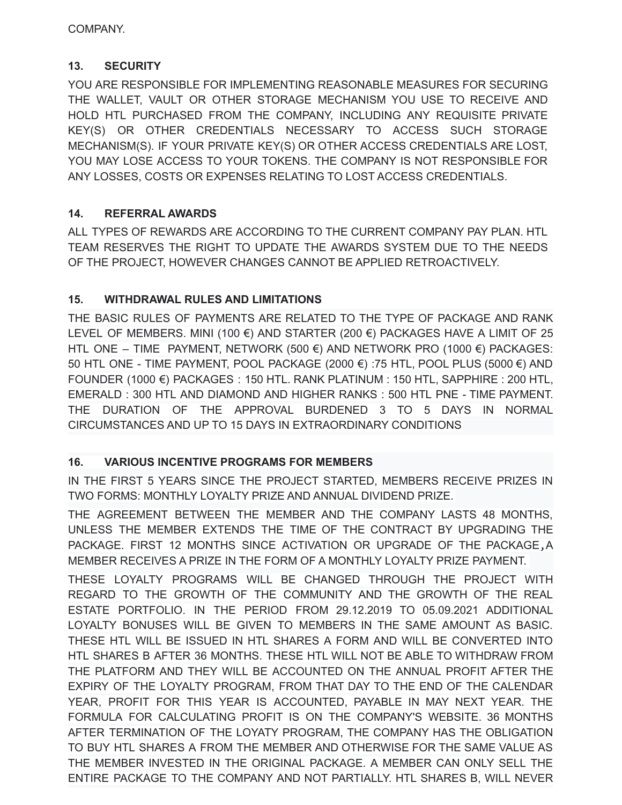### **13. SECURITY**

YOU ARE RESPONSIBLE FOR IMPLEMENTING REASONABLE MEASURES FOR SECURING THE WALLET, VAULT OR OTHER STORAGE MECHANISM YOU USE TO RECEIVE AND HOLD HTL PURCHASED FROM THE COMPANY, INCLUDING ANY REQUISITE PRIVATE KEY(S) OR OTHER CREDENTIALS NECESSARY TO ACCESS SUCH STORAGE MECHANISM(S). IF YOUR PRIVATE KEY(S) OR OTHER ACCESS CREDENTIALS ARE LOST, YOU MAY LOSE ACCESS TO YOUR TOKENS. THE COMPANY IS NOT RESPONSIBLE FOR ANY LOSSES, COSTS OR EXPENSES RELATING TO LOST ACCESS CREDENTIALS.

## **14. REFERRAL AWARDS**

ALL TYPES OF REWARDS ARE ACCORDING TO THE CURRENT COMPANY PAY PLAN. HTL TEAM RESERVES THE RIGHT TO UPDATE THE AWARDS SYSTEM DUE TO THE NEEDS OF THE PROJECT, HOWEVER CHANGES CANNOT BE APPLIED RETROACTIVELY.

#### **15. WITHDRAWAL RULES AND LIMITATIONS**

THE BASIC RULES OF PAYMENTS ARE RELATED TO THE TYPE OF PACKAGE AND RANK LEVEL OF MEMBERS. MINI (100 €) AND STARTER (200 €) PACKAGES HAVE A LIMIT OF 25 HTL ONE – TIME PAYMENT, NETWORK (500 €) AND NETWORK PRO (1000 €) PACKAGES: 50 HTL ONE - TIME PAYMENT, POOL PACKAGE (2000 €) :75 HTL, POOL PLUS (5000 €) AND FOUNDER (1000 €) PACKAGES : 150 HTL. RANK PLATINUM : 150 HTL, SAPPHIRE : 200 HTL, EMERALD : 300 HTL AND DIAMOND AND HIGHER RANKS : 500 HTL PNE - TIME PAYMENT. THE DURATION OF THE APPROVAL BURDENED 3 TO 5 DAYS IN NORMAL CIRCUMSTANCES AND UP TO 15 DAYS IN EXTRAORDINARY CONDITIONS

#### **16. VARIOUS INCENTIVE PROGRAMS FOR MEMBERS**

IN THE FIRST 5 YEARS SINCE THE PROJECT STARTED, MEMBERS RECEIVE PRIZES IN TWO FORMS: MONTHLY LOYALTY PRIZE AND ANNUAL DIVIDEND PRIZE.

THE AGREEMENT BETWEEN THE MEMBER AND THE COMPANY LASTS 48 MONTHS, UNLESS THE MEMBER EXTENDS THE TIME OF THE CONTRACT BY UPGRADING THE PACKAGE. FIRST 12 MONTHS SINCE ACTIVATION OR UPGRADE OF THE PACKAGE,A MEMBER RECEIVES A PRIZE IN THE FORM OF A MONTHLY LOYALTY PRIZE PAYMENT.

THESE LOYALTY PROGRAMS WILL BE CHANGED THROUGH THE PROJECT WITH REGARD TO THE GROWTH OF THE COMMUNITY AND THE GROWTH OF THE REAL ESTATE PORTFOLIO. IN THE PERIOD FROM 29.12.2019 TO 05.09.2021 ADDITIONAL LOYALTY BONUSES WILL BE GIVEN TO MEMBERS IN THE SAME AMOUNT AS BASIC. THESE HTL WILL BE ISSUED IN HTL SHARES A FORM AND WILL BE CONVERTED INTO HTL SHARES B AFTER 36 MONTHS. THESE HTL WILL NOT BE ABLE TO WITHDRAW FROM THE PLATFORM AND THEY WILL BE ACCOUNTED ON THE ANNUAL PROFIT AFTER THE EXPIRY OF THE LOYALTY PROGRAM, FROM THAT DAY TO THE END OF THE CALENDAR YEAR, PROFIT FOR THIS YEAR IS ACCOUNTED, PAYABLE IN MAY NEXT YEAR. THE FORMULA FOR CALCULATING PROFIT IS ON THE COMPANY'S WEBSITE. 36 MONTHS AFTER TERMINATION OF THE LOYATY PROGRAM, THE COMPANY HAS THE OBLIGATION TO BUY HTL SHARES A FROM THE MEMBER AND OTHERWISE FOR THE SAME VALUE AS THE MEMBER INVESTED IN THE ORIGINAL PACKAGE. A MEMBER CAN ONLY SELL THE ENTIRE PACKAGE TO THE COMPANY AND NOT PARTIALLY. HTL SHARES B, WILL NEVER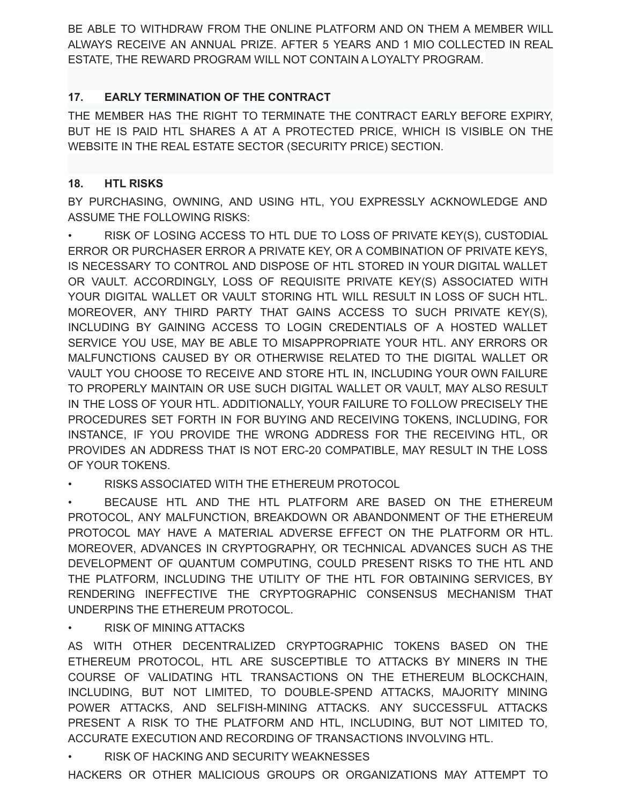BE ABLE TO WITHDRAW FROM THE ONLINE PLATFORM AND ON THEM A MEMBER WILL ALWAYS RECEIVE AN ANNUAL PRIZE. AFTER 5 YEARS AND 1 MIO COLLECTED IN REAL ESTATE, THE REWARD PROGRAM WILL NOT CONTAIN A LOYALTY PROGRAM.

## **17. EARLY TERMINATION OF THE CONTRACT**

THE MEMBER HAS THE RIGHT TO TERMINATE THE CONTRACT EARLY BEFORE EXPIRY, BUT HE IS PAID HTL SHARES A AT A PROTECTED PRICE, WHICH IS VISIBLE ON THE WEBSITE IN THE REAL ESTATE SECTOR (SECURITY PRICE) SECTION.

#### **18. HTL RISKS**

BY PURCHASING, OWNING, AND USING HTL, YOU EXPRESSLY ACKNOWLEDGE AND ASSUME THE FOLLOWING RISKS:

• RISK OF LOSING ACCESS TO HTL DUE TO LOSS OF PRIVATE KEY(S), CUSTODIAL ERROR OR PURCHASER ERROR A PRIVATE KEY, OR A COMBINATION OF PRIVATE KEYS, IS NECESSARY TO CONTROL AND DISPOSE OF HTL STORED IN YOUR DIGITAL WALLET OR VAULT. ACCORDINGLY, LOSS OF REQUISITE PRIVATE KEY(S) ASSOCIATED WITH YOUR DIGITAL WALLET OR VAULT STORING HTL WILL RESULT IN LOSS OF SUCH HTL. MOREOVER, ANY THIRD PARTY THAT GAINS ACCESS TO SUCH PRIVATE KEY(S), INCLUDING BY GAINING ACCESS TO LOGIN CREDENTIALS OF A HOSTED WALLET SERVICE YOU USE, MAY BE ABLE TO MISAPPROPRIATE YOUR HTL. ANY ERRORS OR MALFUNCTIONS CAUSED BY OR OTHERWISE RELATED TO THE DIGITAL WALLET OR VAULT YOU CHOOSE TO RECEIVE AND STORE HTL IN, INCLUDING YOUR OWN FAILURE TO PROPERLY MAINTAIN OR USE SUCH DIGITAL WALLET OR VAULT, MAY ALSO RESULT IN THE LOSS OF YOUR HTL. ADDITIONALLY, YOUR FAILURE TO FOLLOW PRECISELY THE PROCEDURES SET FORTH IN FOR BUYING AND RECEIVING TOKENS, INCLUDING, FOR INSTANCE, IF YOU PROVIDE THE WRONG ADDRESS FOR THE RECEIVING HTL, OR PROVIDES AN ADDRESS THAT IS NOT ERC-20 COMPATIBLE, MAY RESULT IN THE LOSS OF YOUR TOKENS.

• RISKS ASSOCIATED WITH THE ETHEREUM PROTOCOL

• BECAUSE HTL AND THE HTL PLATFORM ARE BASED ON THE ETHEREUM PROTOCOL, ANY MALFUNCTION, BREAKDOWN OR ABANDONMENT OF THE ETHEREUM PROTOCOL MAY HAVE A MATERIAL ADVERSE EFFECT ON THE PLATFORM OR HTL. MOREOVER, ADVANCES IN CRYPTOGRAPHY, OR TECHNICAL ADVANCES SUCH AS THE DEVELOPMENT OF QUANTUM COMPUTING, COULD PRESENT RISKS TO THE HTL AND THE PLATFORM, INCLUDING THE UTILITY OF THE HTL FOR OBTAINING SERVICES, BY RENDERING INEFFECTIVE THE CRYPTOGRAPHIC CONSENSUS MECHANISM THAT UNDERPINS THE ETHEREUM PROTOCOL.

• RISK OF MINING ATTACKS

AS WITH OTHER DECENTRALIZED CRYPTOGRAPHIC TOKENS BASED ON THE ETHEREUM PROTOCOL, HTL ARE SUSCEPTIBLE TO ATTACKS BY MINERS IN THE COURSE OF VALIDATING HTL TRANSACTIONS ON THE ETHEREUM BLOCKCHAIN, INCLUDING, BUT NOT LIMITED, TO DOUBLE-SPEND ATTACKS, MAJORITY MINING POWER ATTACKS, AND SELFISH-MINING ATTACKS. ANY SUCCESSFUL ATTACKS PRESENT A RISK TO THE PLATFORM AND HTL, INCLUDING, BUT NOT LIMITED TO, ACCURATE EXECUTION AND RECORDING OF TRANSACTIONS INVOLVING HTL.

## • RISK OF HACKING AND SECURITY WEAKNESSES

HACKERS OR OTHER MALICIOUS GROUPS OR ORGANIZATIONS MAY ATTEMPT TO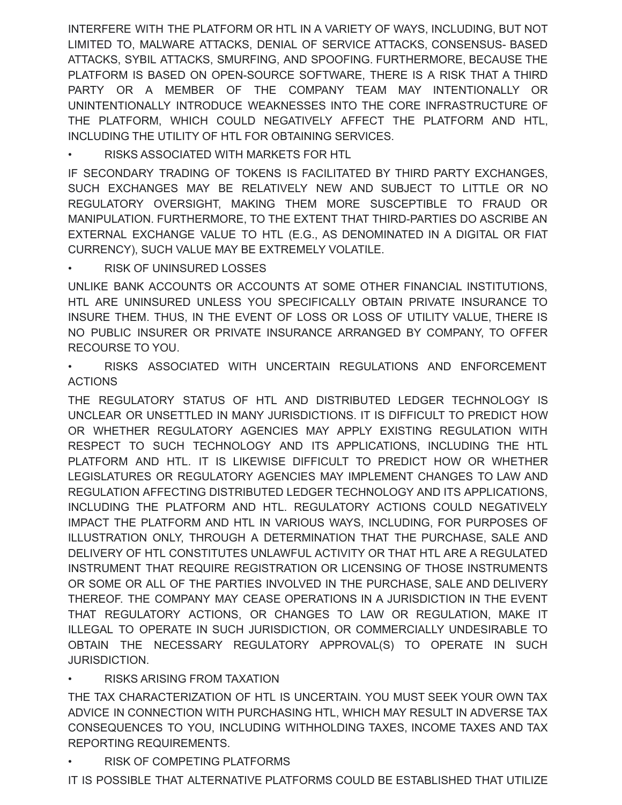INTERFERE WITH THE PLATFORM OR HTL IN A VARIETY OF WAYS, INCLUDING, BUT NOT LIMITED TO, MALWARE ATTACKS, DENIAL OF SERVICE ATTACKS, CONSENSUS- BASED ATTACKS, SYBIL ATTACKS, SMURFING, AND SPOOFING. FURTHERMORE, BECAUSE THE PLATFORM IS BASED ON OPEN-SOURCE SOFTWARE, THERE IS A RISK THAT A THIRD PARTY OR A MEMBER OF THE COMPANY TEAM MAY INTENTIONALLY OR UNINTENTIONALLY INTRODUCE WEAKNESSES INTO THE CORE INFRASTRUCTURE OF THE PLATFORM, WHICH COULD NEGATIVELY AFFECT THE PLATFORM AND HTL, INCLUDING THE UTILITY OF HTL FOR OBTAINING SERVICES.

• RISKS ASSOCIATED WITH MARKETS FOR HTL

IF SECONDARY TRADING OF TOKENS IS FACILITATED BY THIRD PARTY EXCHANGES, SUCH EXCHANGES MAY BE RELATIVELY NEW AND SUBJECT TO LITTLE OR NO REGULATORY OVERSIGHT, MAKING THEM MORE SUSCEPTIBLE TO FRAUD OR MANIPULATION. FURTHERMORE, TO THE EXTENT THAT THIRD-PARTIES DO ASCRIBE AN EXTERNAL EXCHANGE VALUE TO HTL (E.G., AS DENOMINATED IN A DIGITAL OR FIAT CURRENCY), SUCH VALUE MAY BE EXTREMELY VOLATILE.

• RISK OF UNINSURED LOSSES

UNLIKE BANK ACCOUNTS OR ACCOUNTS AT SOME OTHER FINANCIAL INSTITUTIONS, HTL ARE UNINSURED UNLESS YOU SPECIFICALLY OBTAIN PRIVATE INSURANCE TO INSURE THEM. THUS, IN THE EVENT OF LOSS OR LOSS OF UTILITY VALUE, THERE IS NO PUBLIC INSURER OR PRIVATE INSURANCE ARRANGED BY COMPANY, TO OFFER RECOURSE TO YOU.

• RISKS ASSOCIATED WITH UNCERTAIN REGULATIONS AND ENFORCEMENT **ACTIONS** 

THE REGULATORY STATUS OF HTL AND DISTRIBUTED LEDGER TECHNOLOGY IS UNCLEAR OR UNSETTLED IN MANY JURISDICTIONS. IT IS DIFFICULT TO PREDICT HOW OR WHETHER REGULATORY AGENCIES MAY APPLY EXISTING REGULATION WITH RESPECT TO SUCH TECHNOLOGY AND ITS APPLICATIONS, INCLUDING THE HTL PLATFORM AND HTL. IT IS LIKEWISE DIFFICULT TO PREDICT HOW OR WHETHER LEGISLATURES OR REGULATORY AGENCIES MAY IMPLEMENT CHANGES TO LAW AND REGULATION AFFECTING DISTRIBUTED LEDGER TECHNOLOGY AND ITS APPLICATIONS, INCLUDING THE PLATFORM AND HTL. REGULATORY ACTIONS COULD NEGATIVELY IMPACT THE PLATFORM AND HTL IN VARIOUS WAYS, INCLUDING, FOR PURPOSES OF ILLUSTRATION ONLY, THROUGH A DETERMINATION THAT THE PURCHASE, SALE AND DELIVERY OF HTL CONSTITUTES UNLAWFUL ACTIVITY OR THAT HTL ARE A REGULATED INSTRUMENT THAT REQUIRE REGISTRATION OR LICENSING OF THOSE INSTRUMENTS OR SOME OR ALL OF THE PARTIES INVOLVED IN THE PURCHASE, SALE AND DELIVERY THEREOF. THE COMPANY MAY CEASE OPERATIONS IN A JURISDICTION IN THE EVENT THAT REGULATORY ACTIONS, OR CHANGES TO LAW OR REGULATION, MAKE IT ILLEGAL TO OPERATE IN SUCH JURISDICTION, OR COMMERCIALLY UNDESIRABLE TO OBTAIN THE NECESSARY REGULATORY APPROVAL(S) TO OPERATE IN SUCH JURISDICTION.

• RISKS ARISING FROM TAXATION

THE TAX CHARACTERIZATION OF HTL IS UNCERTAIN. YOU MUST SEEK YOUR OWN TAX ADVICE IN CONNECTION WITH PURCHASING HTL, WHICH MAY RESULT IN ADVERSE TAX CONSEQUENCES TO YOU, INCLUDING WITHHOLDING TAXES, INCOME TAXES AND TAX REPORTING REQUIREMENTS.

RISK OF COMPETING PLATFORMS

IT IS POSSIBLE THAT ALTERNATIVE PLATFORMS COULD BE ESTABLISHED THAT UTILIZE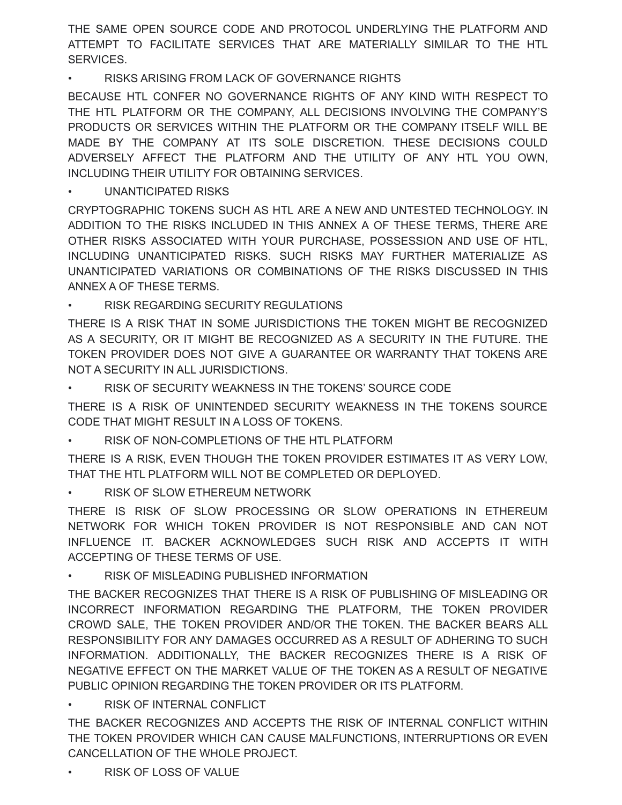THE SAME OPEN SOURCE CODE AND PROTOCOL UNDERLYING THE PLATFORM AND ATTEMPT TO FACILITATE SERVICES THAT ARE MATERIALLY SIMILAR TO THE HTL SERVICES.

• RISKS ARISING FROM LACK OF GOVERNANCE RIGHTS

BECAUSE HTL CONFER NO GOVERNANCE RIGHTS OF ANY KIND WITH RESPECT TO THE HTL PLATFORM OR THE COMPANY, ALL DECISIONS INVOLVING THE COMPANY'S PRODUCTS OR SERVICES WITHIN THE PLATFORM OR THE COMPANY ITSELF WILL BE MADE BY THE COMPANY AT ITS SOLE DISCRETION. THESE DECISIONS COULD ADVERSELY AFFECT THE PLATFORM AND THE UTILITY OF ANY HTL YOU OWN, INCLUDING THEIR UTILITY FOR OBTAINING SERVICES.

• UNANTICIPATED RISKS

CRYPTOGRAPHIC TOKENS SUCH AS HTL ARE A NEW AND UNTESTED TECHNOLOGY. IN ADDITION TO THE RISKS INCLUDED IN THIS ANNEX A OF THESE TERMS, THERE ARE OTHER RISKS ASSOCIATED WITH YOUR PURCHASE, POSSESSION AND USE OF HTL, INCLUDING UNANTICIPATED RISKS. SUCH RISKS MAY FURTHER MATERIALIZE AS UNANTICIPATED VARIATIONS OR COMBINATIONS OF THE RISKS DISCUSSED IN THIS ANNEX A OF THESE TERMS.

## • RISK REGARDING SECURITY REGULATIONS

THERE IS A RISK THAT IN SOME JURISDICTIONS THE TOKEN MIGHT BE RECOGNIZED AS A SECURITY, OR IT MIGHT BE RECOGNIZED AS A SECURITY IN THE FUTURE. THE TOKEN PROVIDER DOES NOT GIVE A GUARANTEE OR WARRANTY THAT TOKENS ARE NOT A SECURITY IN ALL JURISDICTIONS.

• RISK OF SECURITY WEAKNESS IN THE TOKENS' SOURCE CODE

THERE IS A RISK OF UNINTENDED SECURITY WEAKNESS IN THE TOKENS SOURCE CODE THAT MIGHT RESULT IN A LOSS OF TOKENS.

• RISK OF NON-COMPLETIONS OF THE HTL PLATFORM

THERE IS A RISK, EVEN THOUGH THE TOKEN PROVIDER ESTIMATES IT AS VERY LOW, THAT THE HTL PLATFORM WILL NOT BE COMPLETED OR DEPLOYED.

• RISK OF SLOW ETHEREUM NETWORK

THERE IS RISK OF SLOW PROCESSING OR SLOW OPERATIONS IN ETHEREUM NETWORK FOR WHICH TOKEN PROVIDER IS NOT RESPONSIBLE AND CAN NOT INFLUENCE IT. BACKER ACKNOWLEDGES SUCH RISK AND ACCEPTS IT WITH ACCEPTING OF THESE TERMS OF USE.

• RISK OF MISLEADING PUBLISHED INFORMATION

THE BACKER RECOGNIZES THAT THERE IS A RISK OF PUBLISHING OF MISLEADING OR INCORRECT INFORMATION REGARDING THE PLATFORM, THE TOKEN PROVIDER CROWD SALE, THE TOKEN PROVIDER AND/OR THE TOKEN. THE BACKER BEARS ALL RESPONSIBILITY FOR ANY DAMAGES OCCURRED AS A RESULT OF ADHERING TO SUCH INFORMATION. ADDITIONALLY, THE BACKER RECOGNIZES THERE IS A RISK OF NEGATIVE EFFECT ON THE MARKET VALUE OF THE TOKEN AS A RESULT OF NEGATIVE PUBLIC OPINION REGARDING THE TOKEN PROVIDER OR ITS PLATFORM.

• RISK OF INTERNAL CONFLICT

THE BACKER RECOGNIZES AND ACCEPTS THE RISK OF INTERNAL CONFLICT WITHIN THE TOKEN PROVIDER WHICH CAN CAUSE MALFUNCTIONS, INTERRUPTIONS OR EVEN CANCELLATION OF THE WHOLE PROJECT.

• RISK OF LOSS OF VALUE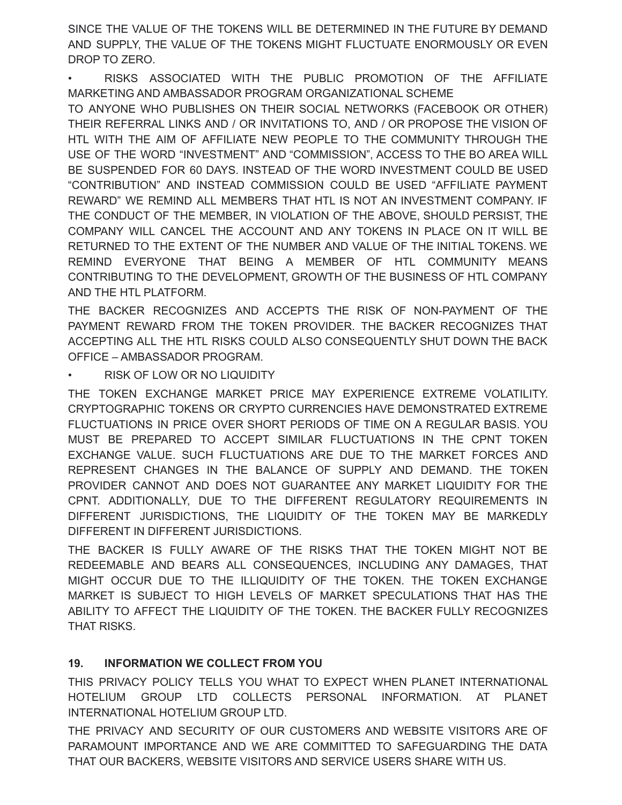SINCE THE VALUE OF THE TOKENS WILL BE DETERMINED IN THE FUTURE BY DEMAND AND SUPPLY, THE VALUE OF THE TOKENS MIGHT FLUCTUATE ENORMOUSLY OR EVEN DROP TO ZERO.

• RISKS ASSOCIATED WITH THE PUBLIC PROMOTION OF THE AFFILIATE MARKETING AND AMBASSADOR PROGRAM ORGANIZATIONAL SCHEME

TO ANYONE WHO PUBLISHES ON THEIR SOCIAL NETWORKS (FACEBOOK OR OTHER) THEIR REFERRAL LINKS AND / OR INVITATIONS TO, AND / OR PROPOSE THE VISION OF HTL WITH THE AIM OF AFFILIATE NEW PEOPLE TO THE COMMUNITY THROUGH THE USE OF THE WORD "INVESTMENT" AND "COMMISSION", ACCESS TO THE BO AREA WILL BE SUSPENDED FOR 60 DAYS. INSTEAD OF THE WORD INVESTMENT COULD BE USED "CONTRIBUTION" AND INSTEAD COMMISSION COULD BE USED "AFFILIATE PAYMENT REWARD" WE REMIND ALL MEMBERS THAT HTL IS NOT AN INVESTMENT COMPANY. IF THE CONDUCT OF THE MEMBER, IN VIOLATION OF THE ABOVE, SHOULD PERSIST, THE COMPANY WILL CANCEL THE ACCOUNT AND ANY TOKENS IN PLACE ON IT WILL BE RETURNED TO THE EXTENT OF THE NUMBER AND VALUE OF THE INITIAL TOKENS. WE REMIND EVERYONE THAT BEING A MEMBER OF HTL COMMUNITY MEANS CONTRIBUTING TO THE DEVELOPMENT, GROWTH OF THE BUSINESS OF HTL COMPANY AND THE HTL PLATFORM.

THE BACKER RECOGNIZES AND ACCEPTS THE RISK OF NON-PAYMENT OF THE PAYMENT REWARD FROM THE TOKEN PROVIDER. THE BACKER RECOGNIZES THAT ACCEPTING ALL THE HTL RISKS COULD ALSO CONSEQUENTLY SHUT DOWN THE BACK OFFICE – AMBASSADOR PROGRAM.

• RISK OF LOW OR NO LIQUIDITY

THE TOKEN EXCHANGE MARKET PRICE MAY EXPERIENCE EXTREME VOLATILITY. CRYPTOGRAPHIC TOKENS OR CRYPTO CURRENCIES HAVE DEMONSTRATED EXTREME FLUCTUATIONS IN PRICE OVER SHORT PERIODS OF TIME ON A REGULAR BASIS. YOU MUST BE PREPARED TO ACCEPT SIMILAR FLUCTUATIONS IN THE CPNT TOKEN EXCHANGE VALUE. SUCH FLUCTUATIONS ARE DUE TO THE MARKET FORCES AND REPRESENT CHANGES IN THE BALANCE OF SUPPLY AND DEMAND. THE TOKEN PROVIDER CANNOT AND DOES NOT GUARANTEE ANY MARKET LIQUIDITY FOR THE CPNT. ADDITIONALLY, DUE TO THE DIFFERENT REGULATORY REQUIREMENTS IN DIFFERENT JURISDICTIONS, THE LIQUIDITY OF THE TOKEN MAY BE MARKEDLY DIFFERENT IN DIFFERENT JURISDICTIONS.

THE BACKER IS FULLY AWARE OF THE RISKS THAT THE TOKEN MIGHT NOT BE REDEEMABLE AND BEARS ALL CONSEQUENCES, INCLUDING ANY DAMAGES, THAT MIGHT OCCUR DUE TO THE ILLIQUIDITY OF THE TOKEN. THE TOKEN EXCHANGE MARKET IS SUBJECT TO HIGH LEVELS OF MARKET SPECULATIONS THAT HAS THE ABILITY TO AFFECT THE LIQUIDITY OF THE TOKEN. THE BACKER FULLY RECOGNIZES THAT RISKS.

## **19. INFORMATION WE COLLECT FROM YOU**

THIS PRIVACY POLICY TELLS YOU WHAT TO EXPECT WHEN PLANET INTERNATIONAL HOTELIUM GROUP LTD COLLECTS PERSONAL INFORMATION. AT PLANET INTERNATIONAL HOTELIUM GROUP LTD.

THE PRIVACY AND SECURITY OF OUR CUSTOMERS AND WEBSITE VISITORS ARE OF PARAMOUNT IMPORTANCE AND WE ARE COMMITTED TO SAFEGUARDING THE DATA THAT OUR BACKERS, WEBSITE VISITORS AND SERVICE USERS SHARE WITH US.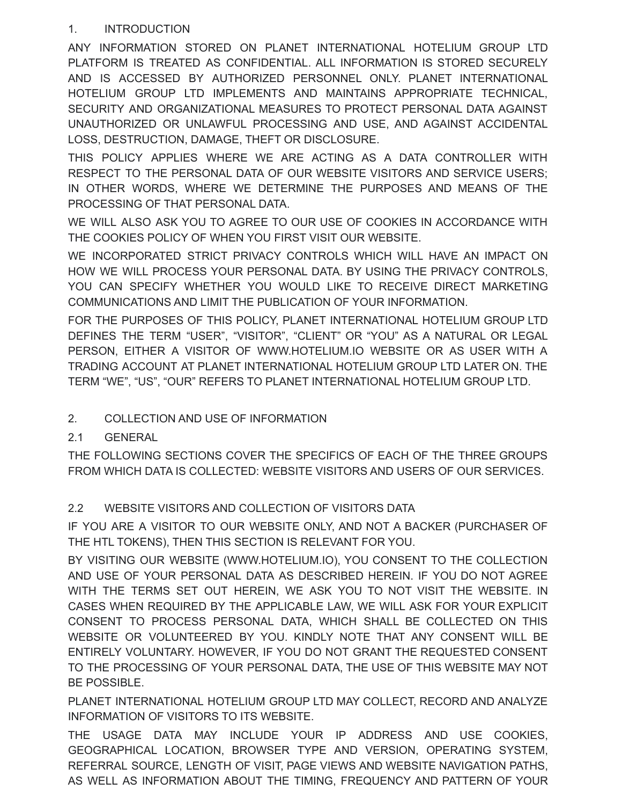## 1. INTRODUCTION

ANY INFORMATION STORED ON PLANET INTERNATIONAL HOTELIUM GROUP LTD PLATFORM IS TREATED AS CONFIDENTIAL. ALL INFORMATION IS STORED SECURELY AND IS ACCESSED BY AUTHORIZED PERSONNEL ONLY. PLANET INTERNATIONAL HOTELIUM GROUP LTD IMPLEMENTS AND MAINTAINS APPROPRIATE TECHNICAL, SECURITY AND ORGANIZATIONAL MEASURES TO PROTECT PERSONAL DATA AGAINST UNAUTHORIZED OR UNLAWFUL PROCESSING AND USE, AND AGAINST ACCIDENTAL LOSS, DESTRUCTION, DAMAGE, THEFT OR DISCLOSURE.

THIS POLICY APPLIES WHERE WE ARE ACTING AS A DATA CONTROLLER WITH RESPECT TO THE PERSONAL DATA OF OUR WEBSITE VISITORS AND SERVICE USERS; IN OTHER WORDS, WHERE WE DETERMINE THE PURPOSES AND MEANS OF THE PROCESSING OF THAT PERSONAL DATA.

WE WILL ALSO ASK YOU TO AGREE TO OUR USE OF COOKIES IN ACCORDANCE WITH THE COOKIES POLICY OF WHEN YOU FIRST VISIT OUR WEBSITE.

WE INCORPORATED STRICT PRIVACY CONTROLS WHICH WILL HAVE AN IMPACT ON HOW WE WILL PROCESS YOUR PERSONAL DATA. BY USING THE PRIVACY CONTROLS, YOU CAN SPECIFY WHETHER YOU WOULD LIKE TO RECEIVE DIRECT MARKETING COMMUNICATIONS AND LIMIT THE PUBLICATION OF YOUR INFORMATION.

FOR THE PURPOSES OF THIS POLICY, PLANET INTERNATIONAL HOTELIUM GROUP LTD DEFINES THE TERM "USER", "VISITOR", "CLIENT" OR "YOU" AS A NATURAL OR LEGAL PERSON, EITHER A VISITOR OF [WWW.HOTELIUM.IO](http://www.hotelium.io/) WEBSITE OR AS USER WITH A TRADING ACCOUNT AT PLANET INTERNATIONAL HOTELIUM GROUP LTD LATER ON. THE TERM "WE", "US", "OUR" REFERS TO PLANET INTERNATIONAL HOTELIUM GROUP LTD.

## 2. COLLECTION AND USE OF INFORMATION

# 2.1 GENERAL

THE FOLLOWING SECTIONS COVER THE SPECIFICS OF EACH OF THE THREE GROUPS FROM WHICH DATA IS COLLECTED: WEBSITE VISITORS AND USERS OF OUR SERVICES.

# 2.2 WEBSITE VISITORS AND COLLECTION OF VISITORS DATA

IF YOU ARE A VISITOR TO OUR WEBSITE ONLY, AND NOT A BACKER (PURCHASER OF THE HTL TOKENS), THEN THIS SECTION IS RELEVANT FOR YOU.

BY VISITING OUR WEBSITE (WWW.HOTELIUM.IO), YOU CONSENT TO THE COLLECTION AND USE OF YOUR PERSONAL DATA AS DESCRIBED HEREIN. IF YOU DO NOT AGREE WITH THE TERMS SET OUT HEREIN, WE ASK YOU TO NOT VISIT THE WEBSITE. IN CASES WHEN REQUIRED BY THE APPLICABLE LAW, WE WILL ASK FOR YOUR EXPLICIT CONSENT TO PROCESS PERSONAL DATA, WHICH SHALL BE COLLECTED ON THIS WEBSITE OR VOLUNTEERED BY YOU. KINDLY NOTE THAT ANY CONSENT WILL BE ENTIRELY VOLUNTARY. HOWEVER, IF YOU DO NOT GRANT THE REQUESTED CONSENT TO THE PROCESSING OF YOUR PERSONAL DATA, THE USE OF THIS WEBSITE MAY NOT BE POSSIBLE.

PLANET INTERNATIONAL HOTELIUM GROUP LTD MAY COLLECT, RECORD AND ANALYZE INFORMATION OF VISITORS TO ITS WEBSITE.

THE USAGE DATA MAY INCLUDE YOUR IP ADDRESS AND USE COOKIES, GEOGRAPHICAL LOCATION, BROWSER TYPE AND VERSION, OPERATING SYSTEM, REFERRAL SOURCE, LENGTH OF VISIT, PAGE VIEWS AND WEBSITE NAVIGATION PATHS, AS WELL AS INFORMATION ABOUT THE TIMING, FREQUENCY AND PATTERN OF YOUR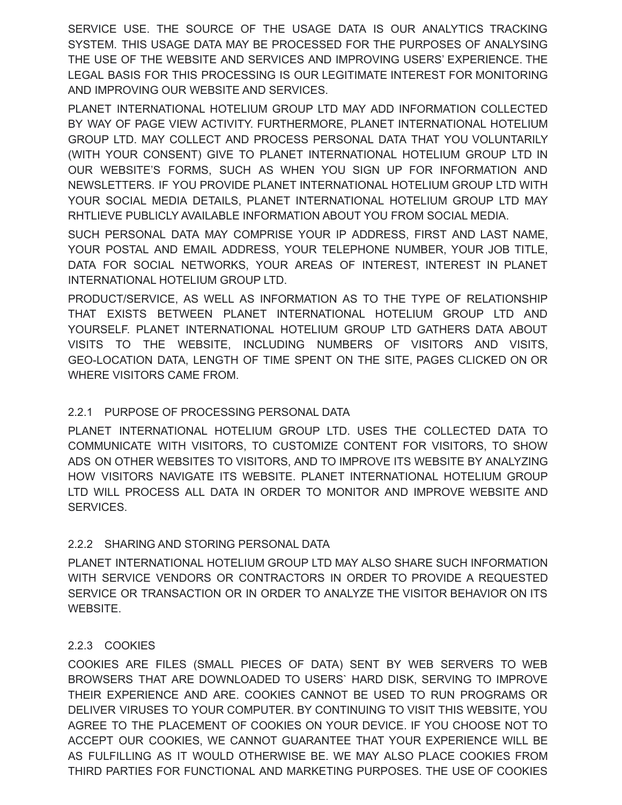SERVICE USE. THE SOURCE OF THE USAGE DATA IS OUR ANALYTICS TRACKING SYSTEM. THIS USAGE DATA MAY BE PROCESSED FOR THE PURPOSES OF ANALYSING THE USE OF THE WEBSITE AND SERVICES AND IMPROVING USERS' EXPERIENCE. THE LEGAL BASIS FOR THIS PROCESSING IS OUR LEGITIMATE INTEREST FOR MONITORING AND IMPROVING OUR WEBSITE AND SERVICES.

PLANET INTERNATIONAL HOTELIUM GROUP LTD MAY ADD INFORMATION COLLECTED BY WAY OF PAGE VIEW ACTIVITY. FURTHERMORE, PLANET INTERNATIONAL HOTELIUM GROUP LTD. MAY COLLECT AND PROCESS PERSONAL DATA THAT YOU VOLUNTARILY (WITH YOUR CONSENT) GIVE TO PLANET INTERNATIONAL HOTELIUM GROUP LTD IN OUR WEBSITE'S FORMS, SUCH AS WHEN YOU SIGN UP FOR INFORMATION AND NEWSLETTERS. IF YOU PROVIDE PLANET INTERNATIONAL HOTELIUM GROUP LTD WITH YOUR SOCIAL MEDIA DETAILS, PLANET INTERNATIONAL HOTELIUM GROUP LTD MAY RHTLIEVE PUBLICLY AVAILABLE INFORMATION ABOUT YOU FROM SOCIAL MEDIA.

SUCH PERSONAL DATA MAY COMPRISE YOUR IP ADDRESS, FIRST AND LAST NAME, YOUR POSTAL AND EMAIL ADDRESS, YOUR TELEPHONE NUMBER, YOUR JOB TITLE, DATA FOR SOCIAL NETWORKS, YOUR AREAS OF INTEREST, INTEREST IN PLANET INTERNATIONAL HOTELIUM GROUP LTD.

PRODUCT/SERVICE, AS WELL AS INFORMATION AS TO THE TYPE OF RELATIONSHIP THAT EXISTS BETWEEN PLANET INTERNATIONAL HOTELIUM GROUP LTD AND YOURSELF. PLANET INTERNATIONAL HOTELIUM GROUP LTD GATHERS DATA ABOUT VISITS TO THE WEBSITE, INCLUDING NUMBERS OF VISITORS AND VISITS, GEO-LOCATION DATA, LENGTH OF TIME SPENT ON THE SITE, PAGES CLICKED ON OR WHERE VISITORS CAME FROM.

## 2.2.1 PURPOSE OF PROCESSING PERSONAL DATA

PLANET INTERNATIONAL HOTELIUM GROUP LTD. USES THE COLLECTED DATA TO COMMUNICATE WITH VISITORS, TO CUSTOMIZE CONTENT FOR VISITORS, TO SHOW ADS ON OTHER WEBSITES TO VISITORS, AND TO IMPROVE ITS WEBSITE BY ANALYZING HOW VISITORS NAVIGATE ITS WEBSITE. PLANET INTERNATIONAL HOTELIUM GROUP LTD WILL PROCESS ALL DATA IN ORDER TO MONITOR AND IMPROVE WEBSITE AND SERVICES.

#### 2.2.2 SHARING AND STORING PERSONAL DATA

PLANET INTERNATIONAL HOTELIUM GROUP LTD MAY ALSO SHARE SUCH INFORMATION WITH SERVICE VENDORS OR CONTRACTORS IN ORDER TO PROVIDE A REQUESTED SERVICE OR TRANSACTION OR IN ORDER TO ANALYZE THE VISITOR BEHAVIOR ON ITS WEBSITE.

#### 2.2.3 COOKIES

COOKIES ARE FILES (SMALL PIECES OF DATA) SENT BY WEB SERVERS TO WEB BROWSERS THAT ARE DOWNLOADED TO USERS` HARD DISK, SERVING TO IMPROVE THEIR EXPERIENCE AND ARE. COOKIES CANNOT BE USED TO RUN PROGRAMS OR DELIVER VIRUSES TO YOUR COMPUTER. BY CONTINUING TO VISIT THIS WEBSITE, YOU AGREE TO THE PLACEMENT OF COOKIES ON YOUR DEVICE. IF YOU CHOOSE NOT TO ACCEPT OUR COOKIES, WE CANNOT GUARANTEE THAT YOUR EXPERIENCE WILL BE AS FULFILLING AS IT WOULD OTHERWISE BE. WE MAY ALSO PLACE COOKIES FROM THIRD PARTIES FOR FUNCTIONAL AND MARKETING PURPOSES. THE USE OF COOKIES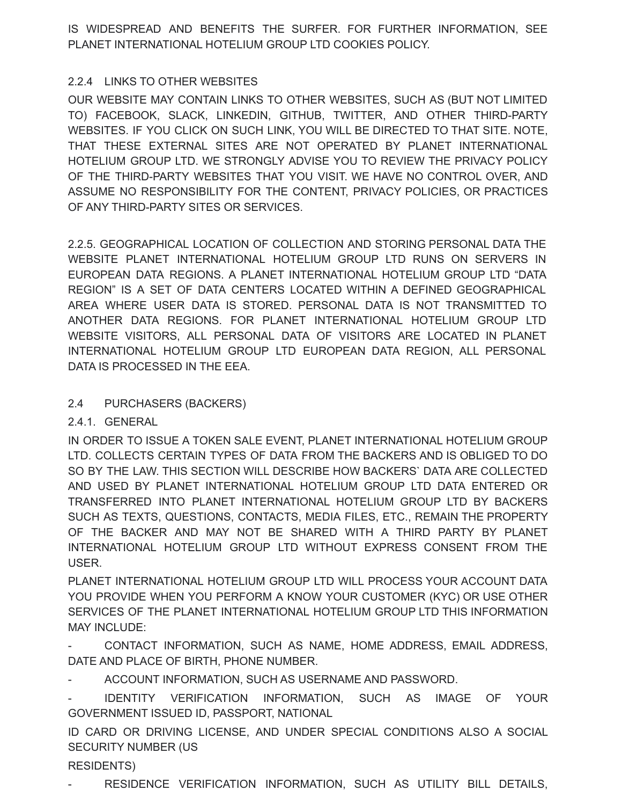IS WIDESPREAD AND BENEFITS THE SURFER. FOR FURTHER INFORMATION, SEE PLANET INTERNATIONAL HOTELIUM GROUP LTD COOKIES POLICY.

#### 2.2.4 LINKS TO OTHER WEBSITES

OUR WEBSITE MAY CONTAIN LINKS TO OTHER WEBSITES, SUCH AS (BUT NOT LIMITED TO) FACEBOOK, SLACK, LINKEDIN, GITHUB, TWITTER, AND OTHER THIRD-PARTY WEBSITES. IF YOU CLICK ON SUCH LINK, YOU WILL BE DIRECTED TO THAT SITE. NOTE, THAT THESE EXTERNAL SITES ARE NOT OPERATED BY PLANET INTERNATIONAL HOTELIUM GROUP LTD. WE STRONGLY ADVISE YOU TO REVIEW THE PRIVACY POLICY OF THE THIRD-PARTY WEBSITES THAT YOU VISIT. WE HAVE NO CONTROL OVER, AND ASSUME NO RESPONSIBILITY FOR THE CONTENT, PRIVACY POLICIES, OR PRACTICES OF ANY THIRD-PARTY SITES OR SERVICES.

2.2.5. GEOGRAPHICAL LOCATION OF COLLECTION AND STORING PERSONAL DATA THE WEBSITE PLANET INTERNATIONAL HOTELIUM GROUP LTD RUNS ON SERVERS IN EUROPEAN DATA REGIONS. A PLANET INTERNATIONAL HOTELIUM GROUP LTD "DATA REGION" IS A SET OF DATA CENTERS LOCATED WITHIN A DEFINED GEOGRAPHICAL AREA WHERE USER DATA IS STORED. PERSONAL DATA IS NOT TRANSMITTED TO ANOTHER DATA REGIONS. FOR PLANET INTERNATIONAL HOTELIUM GROUP LTD WEBSITE VISITORS, ALL PERSONAL DATA OF VISITORS ARE LOCATED IN PLANET INTERNATIONAL HOTELIUM GROUP LTD EUROPEAN DATA REGION, ALL PERSONAL DATA IS PROCESSED IN THE EEA.

#### 2.4 PURCHASERS (BACKERS)

#### 2.4.1. GENERAL

IN ORDER TO ISSUE A TOKEN SALE EVENT, PLANET INTERNATIONAL HOTELIUM GROUP LTD. COLLECTS CERTAIN TYPES OF DATA FROM THE BACKERS AND IS OBLIGED TO DO SO BY THE LAW. THIS SECTION WILL DESCRIBE HOW BACKERS` DATA ARE COLLECTED AND USED BY PLANET INTERNATIONAL HOTELIUM GROUP LTD DATA ENTERED OR TRANSFERRED INTO PLANET INTERNATIONAL HOTELIUM GROUP LTD BY BACKERS SUCH AS TEXTS, QUESTIONS, CONTACTS, MEDIA FILES, ETC., REMAIN THE PROPERTY OF THE BACKER AND MAY NOT BE SHARED WITH A THIRD PARTY BY PLANET INTERNATIONAL HOTELIUM GROUP LTD WITHOUT EXPRESS CONSENT FROM THE USER.

PLANET INTERNATIONAL HOTELIUM GROUP LTD WILL PROCESS YOUR ACCOUNT DATA YOU PROVIDE WHEN YOU PERFORM A KNOW YOUR CUSTOMER (KYC) OR USE OTHER SERVICES OF THE PLANET INTERNATIONAL HOTELIUM GROUP LTD THIS INFORMATION MAY INCLUDE:

- CONTACT INFORMATION, SUCH AS NAME, HOME ADDRESS, EMAIL ADDRESS, DATE AND PLACE OF BIRTH, PHONE NUMBER.

- ACCOUNT INFORMATION, SUCH AS USERNAME AND PASSWORD.

IDENTITY VERIFICATION INFORMATION, SUCH AS IMAGE OF YOUR GOVERNMENT ISSUED ID, PASSPORT, NATIONAL

ID CARD OR DRIVING LICENSE, AND UNDER SPECIAL CONDITIONS ALSO A SOCIAL SECURITY NUMBER (US

RESIDENTS)

RESIDENCE VERIFICATION INFORMATION, SUCH AS UTILITY BILL DETAILS,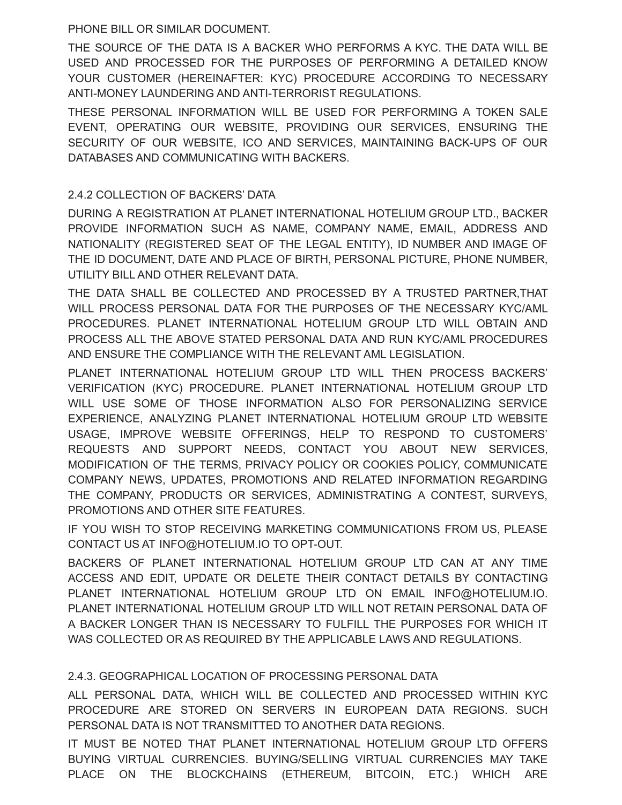PHONE BILL OR SIMILAR DOCUMENT.

THE SOURCE OF THE DATA IS A BACKER WHO PERFORMS A KYC. THE DATA WILL BE USED AND PROCESSED FOR THE PURPOSES OF PERFORMING A DETAILED KNOW YOUR CUSTOMER (HEREINAFTER: KYC) PROCEDURE ACCORDING TO NECESSARY ANTI-MONEY LAUNDERING AND ANTI-TERRORIST REGULATIONS.

THESE PERSONAL INFORMATION WILL BE USED FOR PERFORMING A TOKEN SALE EVENT, OPERATING OUR WEBSITE, PROVIDING OUR SERVICES, ENSURING THE SECURITY OF OUR WEBSITE, ICO AND SERVICES, MAINTAINING BACK-UPS OF OUR DATABASES AND COMMUNICATING WITH BACKERS.

## 2.4.2 COLLECTION OF BACKERS' DATA

DURING A REGISTRATION AT PLANET INTERNATIONAL HOTELIUM GROUP LTD., BACKER PROVIDE INFORMATION SUCH AS NAME, COMPANY NAME, EMAIL, ADDRESS AND NATIONALITY (REGISTERED SEAT OF THE LEGAL ENTITY), ID NUMBER AND IMAGE OF THE ID DOCUMENT, DATE AND PLACE OF BIRTH, PERSONAL PICTURE, PHONE NUMBER, UTILITY BILL AND OTHER RELEVANT DATA.

THE DATA SHALL BE COLLECTED AND PROCESSED BY A TRUSTED PARTNER,THAT WILL PROCESS PERSONAL DATA FOR THE PURPOSES OF THE NECESSARY KYC/AML PROCEDURES. PLANET INTERNATIONAL HOTELIUM GROUP LTD WILL OBTAIN AND PROCESS ALL THE ABOVE STATED PERSONAL DATA AND RUN KYC/AML PROCEDURES AND ENSURE THE COMPLIANCE WITH THE RELEVANT AML LEGISLATION.

PLANET INTERNATIONAL HOTELIUM GROUP LTD WILL THEN PROCESS BACKERS' VERIFICATION (KYC) PROCEDURE. PLANET INTERNATIONAL HOTELIUM GROUP LTD WILL USE SOME OF THOSE INFORMATION ALSO FOR PERSONALIZING SERVICE EXPERIENCE, ANALYZING PLANET INTERNATIONAL HOTELIUM GROUP LTD WEBSITE USAGE, IMPROVE WEBSITE OFFERINGS, HELP TO RESPOND TO CUSTOMERS' REQUESTS AND SUPPORT NEEDS, CONTACT YOU ABOUT NEW SERVICES, MODIFICATION OF THE TERMS, PRIVACY POLICY OR COOKIES POLICY, COMMUNICATE COMPANY NEWS, UPDATES, PROMOTIONS AND RELATED INFORMATION REGARDING THE COMPANY, PRODUCTS OR SERVICES, ADMINISTRATING A CONTEST, SURVEYS, PROMOTIONS AND OTHER SITE FEATURES.

IF YOU WISH TO STOP RECEIVING MARKETING COMMUNICATIONS FROM US, PLEASE CONTACT US AT [INFO@HOTELIUM.IO](mailto:INFO@HOTELIUM.IO) TO OPT-OUT.

BACKERS OF PLANET INTERNATIONAL HOTELIUM GROUP LTD CAN AT ANY TIME ACCESS AND EDIT, UPDATE OR DELETE THEIR CONTACT DETAILS BY CONTACTING PLANET INTERNATIONAL HOTELIUM GROUP LTD ON EMAIL [INFO@HOTELIUM.IO.](mailto:INFO@HOTELIUM.IO) PLANET INTERNATIONAL HOTELIUM GROUP LTD WILL NOT RETAIN PERSONAL DATA OF A BACKER LONGER THAN IS NECESSARY TO FULFILL THE PURPOSES FOR WHICH IT WAS COLLECTED OR AS REQUIRED BY THE APPLICABLE LAWS AND REGULATIONS.

2.4.3. GEOGRAPHICAL LOCATION OF PROCESSING PERSONAL DATA

ALL PERSONAL DATA, WHICH WILL BE COLLECTED AND PROCESSED WITHIN KYC PROCEDURE ARE STORED ON SERVERS IN EUROPEAN DATA REGIONS. SUCH PERSONAL DATA IS NOT TRANSMITTED TO ANOTHER DATA REGIONS.

IT MUST BE NOTED THAT PLANET INTERNATIONAL HOTELIUM GROUP LTD OFFERS BUYING VIRTUAL CURRENCIES. BUYING/SELLING VIRTUAL CURRENCIES MAY TAKE PLACE ON THE BLOCKCHAINS (ETHEREUM, BITCOIN, ETC.) WHICH ARE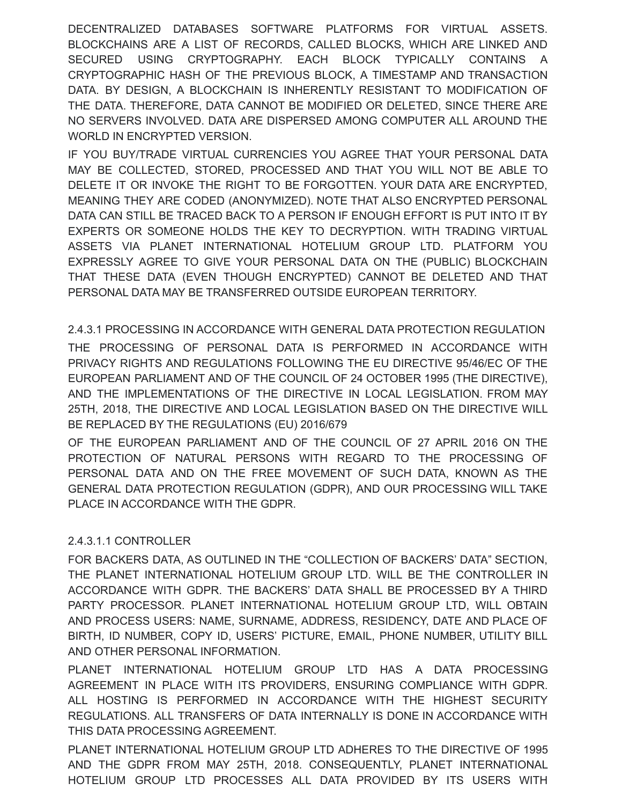DECENTRALIZED DATABASES SOFTWARE PLATFORMS FOR VIRTUAL ASSETS. BLOCKCHAINS ARE A LIST OF RECORDS, CALLED BLOCKS, WHICH ARE LINKED AND SECURED USING CRYPTOGRAPHY. EACH BLOCK TYPICALLY CONTAINS A CRYPTOGRAPHIC HASH OF THE PREVIOUS BLOCK, A TIMESTAMP AND TRANSACTION DATA. BY DESIGN, A BLOCKCHAIN IS INHERENTLY RESISTANT TO MODIFICATION OF THE DATA. THEREFORE, DATA CANNOT BE MODIFIED OR DELETED, SINCE THERE ARE NO SERVERS INVOLVED. DATA ARE DISPERSED AMONG COMPUTER ALL AROUND THE WORLD IN ENCRYPTED VERSION.

IF YOU BUY/TRADE VIRTUAL CURRENCIES YOU AGREE THAT YOUR PERSONAL DATA MAY BE COLLECTED, STORED, PROCESSED AND THAT YOU WILL NOT BE ABLE TO DELETE IT OR INVOKE THE RIGHT TO BE FORGOTTEN. YOUR DATA ARE ENCRYPTED, MEANING THEY ARE CODED (ANONYMIZED). NOTE THAT ALSO ENCRYPTED PERSONAL DATA CAN STILL BE TRACED BACK TO A PERSON IF ENOUGH EFFORT IS PUT INTO IT BY EXPERTS OR SOMEONE HOLDS THE KEY TO DECRYPTION. WITH TRADING VIRTUAL ASSETS VIA PLANET INTERNATIONAL HOTELIUM GROUP LTD. PLATFORM YOU EXPRESSLY AGREE TO GIVE YOUR PERSONAL DATA ON THE (PUBLIC) BLOCKCHAIN THAT THESE DATA (EVEN THOUGH ENCRYPTED) CANNOT BE DELETED AND THAT PERSONAL DATA MAY BE TRANSFERRED OUTSIDE EUROPEAN TERRITORY.

2.4.3.1 PROCESSING IN ACCORDANCE WITH GENERAL DATA PROTECTION REGULATION THE PROCESSING OF PERSONAL DATA IS PERFORMED IN ACCORDANCE WITH PRIVACY RIGHTS AND REGULATIONS FOLLOWING THE EU DIRECTIVE 95/46/EC OF THE EUROPEAN PARLIAMENT AND OF THE COUNCIL OF 24 OCTOBER 1995 (THE DIRECTIVE), AND THE IMPLEMENTATIONS OF THE DIRECTIVE IN LOCAL LEGISLATION. FROM MAY 25TH, 2018, THE DIRECTIVE AND LOCAL LEGISLATION BASED ON THE DIRECTIVE WILL BE REPLACED BY THE REGULATIONS (EU) 2016/679

OF THE EUROPEAN PARLIAMENT AND OF THE COUNCIL OF 27 APRIL 2016 ON THE PROTECTION OF NATURAL PERSONS WITH REGARD TO THE PROCESSING OF PERSONAL DATA AND ON THE FREE MOVEMENT OF SUCH DATA, KNOWN AS THE GENERAL DATA PROTECTION REGULATION (GDPR), AND OUR PROCESSING WILL TAKE PLACE IN ACCORDANCE WITH THE GDPR.

#### 2.4.3.1.1 CONTROLLER

FOR BACKERS DATA, AS OUTLINED IN THE "COLLECTION OF BACKERS' DATA" SECTION, THE PLANET INTERNATIONAL HOTELIUM GROUP LTD. WILL BE THE CONTROLLER IN ACCORDANCE WITH GDPR. THE BACKERS' DATA SHALL BE PROCESSED BY A THIRD PARTY PROCESSOR. PLANET INTERNATIONAL HOTELIUM GROUP LTD, WILL OBTAIN AND PROCESS USERS: NAME, SURNAME, ADDRESS, RESIDENCY, DATE AND PLACE OF BIRTH, ID NUMBER, COPY ID, USERS' PICTURE, EMAIL, PHONE NUMBER, UTILITY BILL AND OTHER PERSONAL INFORMATION.

PLANET INTERNATIONAL HOTELIUM GROUP LTD HAS A DATA PROCESSING AGREEMENT IN PLACE WITH ITS PROVIDERS, ENSURING COMPLIANCE WITH GDPR. ALL HOSTING IS PERFORMED IN ACCORDANCE WITH THE HIGHEST SECURITY REGULATIONS. ALL TRANSFERS OF DATA INTERNALLY IS DONE IN ACCORDANCE WITH THIS DATA PROCESSING AGREEMENT.

PLANET INTERNATIONAL HOTELIUM GROUP LTD ADHERES TO THE DIRECTIVE OF 1995 AND THE GDPR FROM MAY 25TH, 2018. CONSEQUENTLY, PLANET INTERNATIONAL HOTELIUM GROUP LTD PROCESSES ALL DATA PROVIDED BY ITS USERS WITH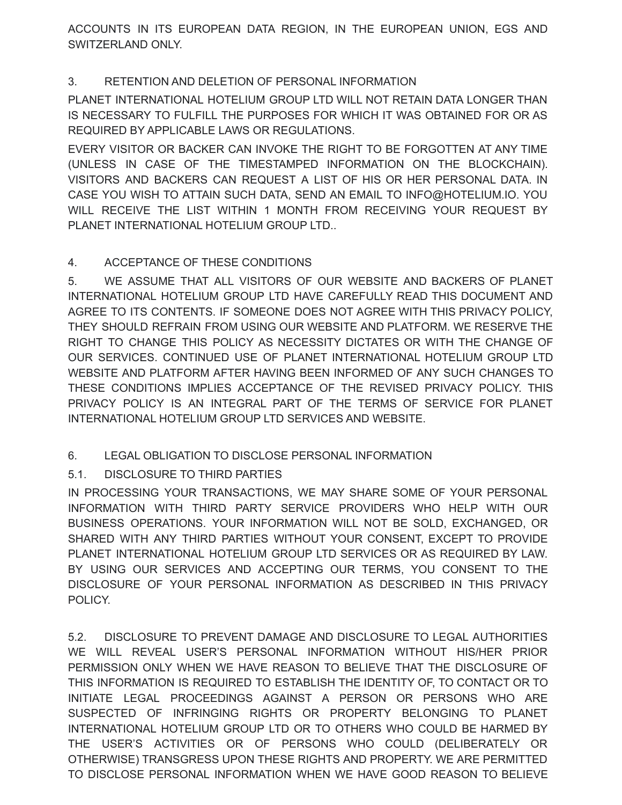ACCOUNTS IN ITS EUROPEAN DATA REGION, IN THE EUROPEAN UNION, EGS AND SWITZERLAND ONLY.

## 3. RETENTION AND DELETION OF PERSONAL INFORMATION

PLANET INTERNATIONAL HOTELIUM GROUP LTD WILL NOT RETAIN DATA LONGER THAN IS NECESSARY TO FULFILL THE PURPOSES FOR WHICH IT WAS OBTAINED FOR OR AS REQUIRED BY APPLICABLE LAWS OR REGULATIONS.

EVERY VISITOR OR BACKER CAN INVOKE THE RIGHT TO BE FORGOTTEN AT ANY TIME (UNLESS IN CASE OF THE TIMESTAMPED INFORMATION ON THE BLOCKCHAIN). VISITORS AND BACKERS CAN REQUEST A LIST OF HIS OR HER PERSONAL DATA. IN CASE YOU WISH TO ATTAIN SUCH DATA, SEND AN EMAIL TO [INFO@HOTELIUM.IO.](mailto:INFO@HOTELIUM.IO) YOU WILL RECEIVE THE LIST WITHIN 1 MONTH FROM RECEIVING YOUR REQUEST BY PLANET INTERNATIONAL HOTELIUM GROUP LTD..

## 4. ACCEPTANCE OF THESE CONDITIONS

5. WE ASSUME THAT ALL VISITORS OF OUR WEBSITE AND BACKERS OF PLANET INTERNATIONAL HOTELIUM GROUP LTD HAVE CAREFULLY READ THIS DOCUMENT AND AGREE TO ITS CONTENTS. IF SOMEONE DOES NOT AGREE WITH THIS PRIVACY POLICY, THEY SHOULD REFRAIN FROM USING OUR WEBSITE AND PLATFORM. WE RESERVE THE RIGHT TO CHANGE THIS POLICY AS NECESSITY DICTATES OR WITH THE CHANGE OF OUR SERVICES. CONTINUED USE OF PLANET INTERNATIONAL HOTELIUM GROUP LTD WEBSITE AND PLATFORM AFTER HAVING BEEN INFORMED OF ANY SUCH CHANGES TO THESE CONDITIONS IMPLIES ACCEPTANCE OF THE REVISED PRIVACY POLICY. THIS PRIVACY POLICY IS AN INTEGRAL PART OF THE TERMS OF SERVICE FOR PLANET INTERNATIONAL HOTELIUM GROUP LTD SERVICES AND WEBSITE.

## 6. LEGAL OBLIGATION TO DISCLOSE PERSONAL INFORMATION

## 5.1. DISCLOSURE TO THIRD PARTIES

IN PROCESSING YOUR TRANSACTIONS, WE MAY SHARE SOME OF YOUR PERSONAL INFORMATION WITH THIRD PARTY SERVICE PROVIDERS WHO HELP WITH OUR BUSINESS OPERATIONS. YOUR INFORMATION WILL NOT BE SOLD, EXCHANGED, OR SHARED WITH ANY THIRD PARTIES WITHOUT YOUR CONSENT, EXCEPT TO PROVIDE PLANET INTERNATIONAL HOTELIUM GROUP LTD SERVICES OR AS REQUIRED BY LAW. BY USING OUR SERVICES AND ACCEPTING OUR TERMS, YOU CONSENT TO THE DISCLOSURE OF YOUR PERSONAL INFORMATION AS DESCRIBED IN THIS PRIVACY POLICY.

5.2. DISCLOSURE TO PREVENT DAMAGE AND DISCLOSURE TO LEGAL AUTHORITIES WE WILL REVEAL USER'S PERSONAL INFORMATION WITHOUT HIS/HER PRIOR PERMISSION ONLY WHEN WE HAVE REASON TO BELIEVE THAT THE DISCLOSURE OF THIS INFORMATION IS REQUIRED TO ESTABLISH THE IDENTITY OF, TO CONTACT OR TO INITIATE LEGAL PROCEEDINGS AGAINST A PERSON OR PERSONS WHO ARE SUSPECTED OF INFRINGING RIGHTS OR PROPERTY BELONGING TO PLANET INTERNATIONAL HOTELIUM GROUP LTD OR TO OTHERS WHO COULD BE HARMED BY THE USER'S ACTIVITIES OR OF PERSONS WHO COULD (DELIBERATELY OR OTHERWISE) TRANSGRESS UPON THESE RIGHTS AND PROPERTY. WE ARE PERMITTED TO DISCLOSE PERSONAL INFORMATION WHEN WE HAVE GOOD REASON TO BELIEVE